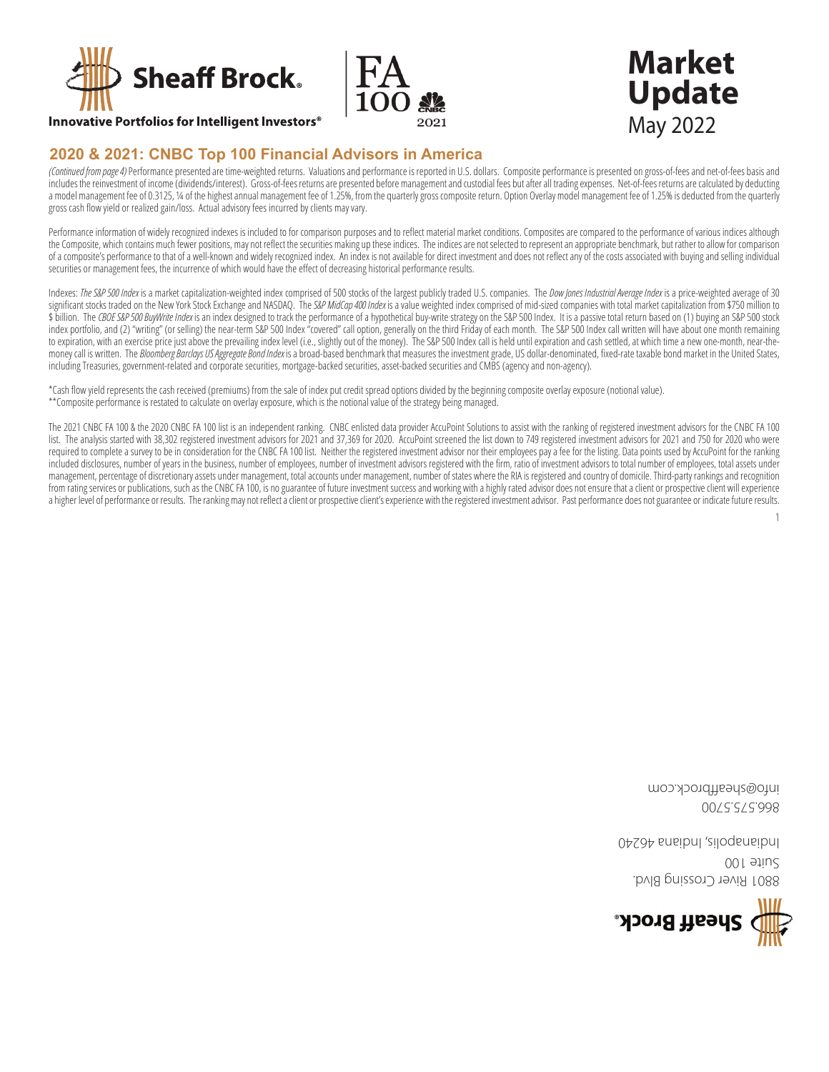



## **Innovative Portfolios for Intelligent Investors<sup>®</sup>**

# 2020 & 2021: CNBC Top 100 Financial Advisors in America

(Continued from page 4) Performance presented are time-weighted returns. Valuations and performance is reported in U.S. dollars. Composite performance is presented on gross-of-fees and net-of-fees basis and includes the reinvestment of income (dividends/interest). Gross-of-fees returns are presented before management and custodial fees but after all trading expenses. Net-of-fees returns are calculated by deducting a model management fee of 0.3125, 14 of the highest annual management fee of 1.25%, from the quarterly gross composite return. Option Overlay model management fee of 1.25% is deducted from the quarterly gross cash flow yield or realized gain/loss. Actual advisory fees incurred by clients may vary.

Performance information of widely recognized indexes is included to for comparison purposes and to reflect material market conditions. Composites are compared to the performance of various indices although the Composite, which contains much fewer positions, may not reflect the securities making up these indices. The indices are not selected to represent an appropriate benchmark, but rather to allow for comparison of a composite's performance to that of a well-known and widely recognized index. An index is not available for direct investment and does not reflect any of the costs associated with buying and selling individual securities or management fees, the incurrence of which would have the effect of decreasing historical performance results.

Indexes: The S&P 500 Index is a market capitalization-weighted index comprised of 500 stocks of the largest publicly traded U.S. companies. The Dow Jones Industrial Average Index is a price-weighted average of 30 significant stocks traded on the New York Stock Exchange and NASDAQ. The S&P MidCap 400 Index is a value weighted index comprised of mid-sized companies with total market capitalization from \$750 million to \$ billion. The CBOE S&P 500 BuyWrite Index is an index designed to track the performance of a hypothetical buy-write strategy on the S&P 500 Index. It is a passive total return based on (1) buying an S&P 500 stock index portfolio, and (2) "writing" (or selling) the near-term S&P 500 Index "covered" call option, generally on the third Friday of each month. The S&P 500 Index call written will have about one month remaining to expiration, with an exercise price just above the prevailing index level (i.e., slightly out of the money). The S&P 500 Index call is held until expiration and cash settled, at which time a new one-month, near-themoney call is written. The Bloomberg Barclays US Aggregate Bond Index is a broad-based benchmark that measures the investment grade, US dollar-denominated, fixed-rate taxable bond market in the United States, including Treasuries, government-related and corporate securities, mortgage-backed securities, asset-backed securities and CMBS (agency and non-agency).

\*Cash flow yield represents the cash received (premiums) from the sale of index put credit spread options divided by the beginning composite overlay exposure (notional value). \*\* Composite performance is restated to calculate on overlay exposure, which is the notional value of the strategy being managed.

The 2021 CNBC FA 100 & the 2020 CNBC FA 100 list is an independent ranking. CNBC enlisted data provider AccuPoint Solutions to assist with the ranking of registered investment advisors for the CNBC FA 100 list. The analysis started with 38,302 registered investment advisors for 2021 and 37,369 for 2020. AccuPoint screened the list down to 749 registered investment advisors for 2021 and 750 for 2020 who were required to complete a survey to be in consideration for the CNBC FA 100 list. Neither the registered investment advisor nor their employees pay a fee for the listing. Data points used by AccuPoint for the ranking included disclosures, number of years in the business, number of employees, number of investment advisors registered with the firm, ratio of investment advisors to total number of employees, total assets under management, percentage of discretionary assets under management, total accounts under management, number of states where the RIA is registered and country of domicile. Third-party rankings and recognition from rating services or publications, such as the CNBC FA 100, is no guarantee of future investment success and working with a highly rated advisor does not ensure that a client or prospective client will experience a higher level of performance or results. The ranking may not reflect a client or prospective client's experience with the registered investment advisor. Past performance does not guarantee or indicate future results.

 $\mathbf{1}$ 



OOI etiu2 **B801 River Crossing Blvd.** 

00/55/5998

moo.xbordffiseda@otni

**Market** 

**Update** 

**May 2022** 

04294 snsibnl , ailogsnsibnl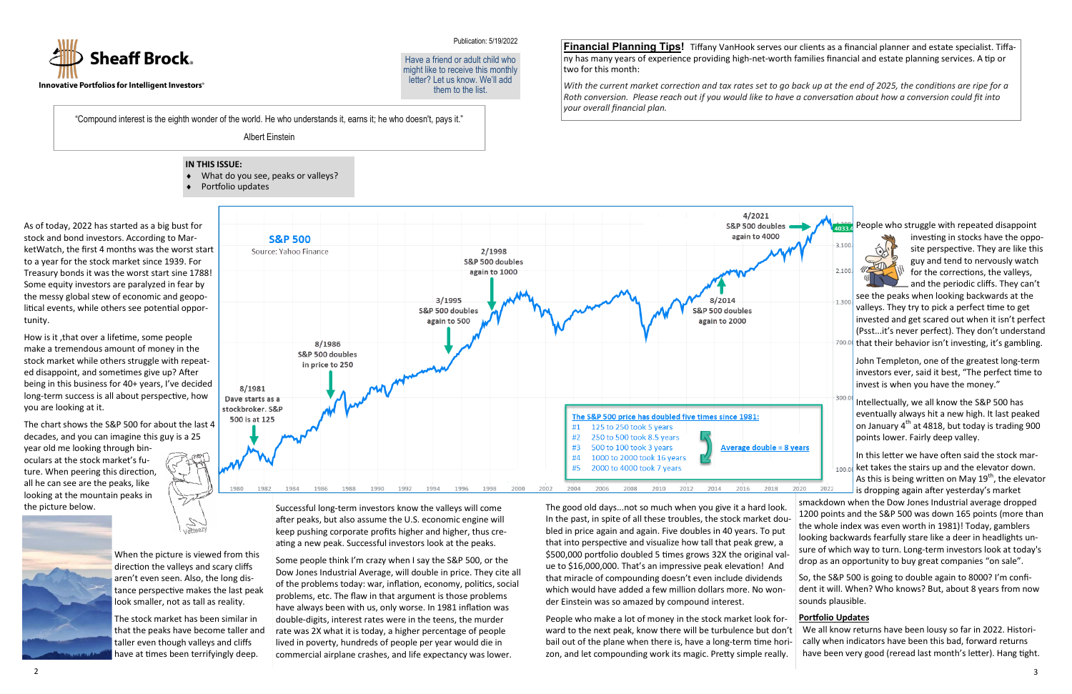As of today, 2022 has started as a big bust for stock and bond investors. According to MarketWatch, the first 4 months was the worst start to a year for the stock market since 1939. For Treasury bonds it was the worst start sine 1788! Some equity investors are paralyzed in fear by the messy global stew of economic and geopolitical events, while others see potential opportunity.

How is it ,that over a lifetime, some people make a tremendous amount of money in the stock market while others struggle with repeated disappoint, and sometimes give up? After being in this business for 40+ years, I've decided long-term success is all about perspective, how you are looking at it.

The chart shows the S&P 500 for about the last 4 decades, and you can imagine this guy is a 25 year old me looking through binoculars at the stock market's future. When peering this direction, all he can see are the peaks, like looking at the mountain peaks in the picture below.





The stock market has been similar in that the peaks have become taller and taller even though valleys and cliffs have at times been terrifyingly deep.



Successful long-term investors know the valleys will come after peaks, but also assume the U.S. economic engine will keep pushing corporate profits higher and higher, thus creating a new peak. Successful investors look at the peaks.

investing in stocks have the opposite perspective. They are like this guy and tend to nervously watch for the corrections, the valleys, and the periodic cliffs. They can't

see the peaks when looking backwards at the valleys. They try to pick a perfect time to get invested and get scared out when it isn't perfect (Psst...it's never perfect). They don't understand that their behavior isn't investing, it's gambling.

Some people think I'm crazy when I say the S&P 500, or the Dow Jones Industrial Average, will double in price. They cite all of the problems today: war, inflation, economy, politics, social problems, etc. The flaw in that argument is those problems have always been with us, only worse. In 1981 inflation was double-digits, interest rates were in the teens, the murder rate was 2X what it is today, a higher percentage of people lived in poverty, hundreds of people per year would die in commercial airplane crashes, and life expectancy was lower.

"Compound interest is the eighth wonder of the world. He who understands it, earns it; he who doesn't, pays it."

Albert Einstein



#### Publication: 5/19/2022

People who struggle with repeated disappoint

The good old days...not so much when you give it a hard look. In the past, in spite of all these troubles, the stock market doubled in price again and again. Five doubles in 40 years. To put that into perspective and visualize how tall that peak grew, a \$500,000 portfolio doubled 5 times grows 32X the original value to \$16,000,000. That's an impressive peak elevation! And that miracle of compounding doesn't even include dividends which would have added a few million dollars more. No wonder Einstein was so amazed by compound interest. smackdown when the Dow Jones Industrial average dropped 1200 points and the S&P 500 was down 165 points (more than the whole index was even worth in 1981)! Today, gamblers looking backwards fearfully stare like a deer in headlights unsure of which way to turn. Long-term investors look at today's drop as an opportunity to buy great companies "on sale". So, the S&P 500 is going to double again to 8000? I'm confident it will. When? Who knows? But, about 8 years from now sounds plausible.

John Templeton, one of the greatest long-term investors ever, said it best, "The perfect time to invest is when you have the money."

People who make a lot of money in the stock market look forward to the next peak, know there will be turbulence but don't bail out of the plane when there is, have a long-term time horizon, and let compounding work its magic. Pretty simple really. **Portfolio Updates** We all know returns have been lousy so far in 2022. Historically when indicators have been this bad, forward returns

Intellectually, we all know the S&P 500 has eventually always hit a new high. It last peaked on January 4<sup>th</sup> at 4818, but today is trading 900 points lower. Fairly deep valley.

In this letter we have often said the stock mar- $_{100.00}$  ket takes the stairs up and the elevator down. As this is being written on May 19<sup>th</sup>, the elevator is dropping again after yesterday's market

have been very good (reread last month's letter). Hang tight.

Have a friend or adult child who might like to receive this monthly letter? Let us know. We'll add them to the list.

**Financial Planning Tips!** Tiffany VanHook serves our clients as a financial planner and estate specialist. Tiffany has many years of experience providing high-net-worth families financial and estate planning services. A tip or two for this month:

*With the current market correction and tax rates set to go back up at the end of 2025, the conditions are ripe for a Roth conversion. Please reach out if you would like to have a conversation about how a conversion could fit into your overall financial plan.*

### **IN THIS ISSUE:**

- What do you see, peaks or valleys?
- Portfolio updates